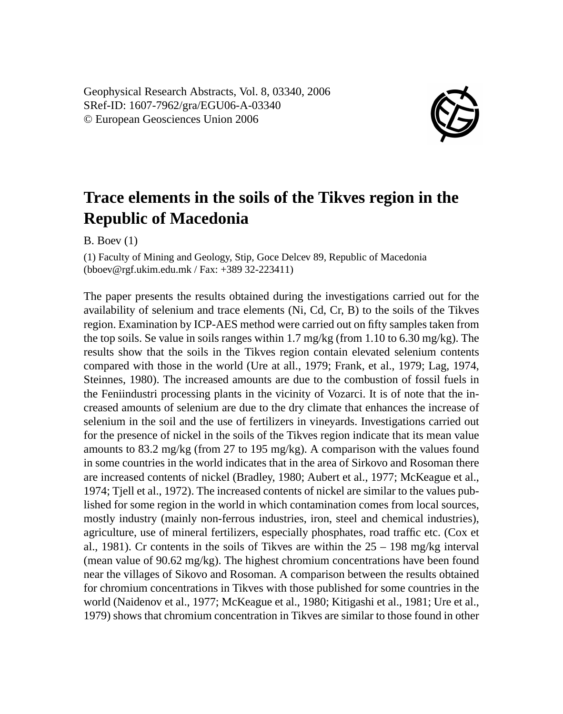Geophysical Research Abstracts, Vol. 8, 03340, 2006 SRef-ID: 1607-7962/gra/EGU06-A-03340 © European Geosciences Union 2006



## **Trace elements in the soils of the Tikves region in the Republic of Macedonia**

B. Boev (1)

(1) Faculty of Mining and Geology, Stip, Goce Delcev 89, Republic of Macedonia (bboev@rgf.ukim.edu.mk / Fax: +389 32-223411)

The paper presents the results obtained during the investigations carried out for the availability of selenium and trace elements (Ni, Cd, Cr, B) to the soils of the Tikves region. Examination by ICP-AES method were carried out on fifty samples taken from the top soils. Se value in soils ranges within 1.7 mg/kg (from 1.10 to 6.30 mg/kg). The results show that the soils in the Tikves region contain elevated selenium contents compared with those in the world (Ure at all., 1979; Frank, et al., 1979; Lag, 1974, Steinnes, 1980). The increased amounts are due to the combustion of fossil fuels in the Feniindustri processing plants in the vicinity of Vozarci. It is of note that the increased amounts of selenium are due to the dry climate that enhances the increase of selenium in the soil and the use of fertilizers in vineyards. Investigations carried out for the presence of nickel in the soils of the Tikves region indicate that its mean value amounts to  $83.2 \text{ mg/kg}$  (from 27 to 195 mg/kg). A comparison with the values found in some countries in the world indicates that in the area of Sirkovo and Rosoman there are increased contents of nickel (Bradley, 1980; Aubert et al., 1977; McKeague et al., 1974; Tjell et al., 1972). The increased contents of nickel are similar to the values published for some region in the world in which contamination comes from local sources, mostly industry (mainly non-ferrous industries, iron, steel and chemical industries), agriculture, use of mineral fertilizers, especially phosphates, road traffic etc. (Cox et al., 1981). Cr contents in the soils of Tikves are within the  $25 - 198$  mg/kg interval (mean value of 90.62 mg/kg). The highest chromium concentrations have been found near the villages of Sikovo and Rosoman. A comparison between the results obtained for chromium concentrations in Tikves with those published for some countries in the world (Naidenov et al., 1977; McKeague et al., 1980; Kitigashi et al., 1981; Ure et al., 1979) shows that chromium concentration in Tikves are similar to those found in other